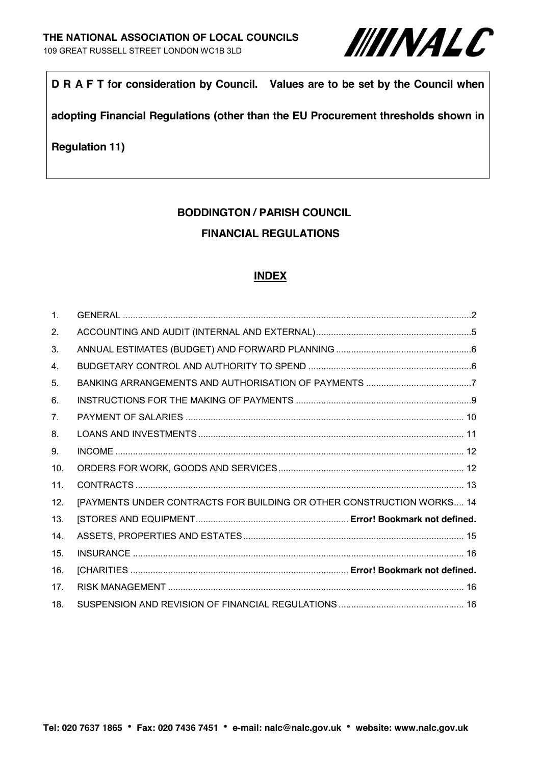

**D R A F T for consideration by Council. Values are to be set by the Council when** 

**adopting Financial Regulations (other than the EU Procurement thresholds shown in** 

**Regulation 11)**

# **BODDINGTON / PARISH COUNCIL**

#### **FINANCIAL REGULATIONS**

#### **INDEX**

| $\mathbf{1}$ . |                                                                       |  |
|----------------|-----------------------------------------------------------------------|--|
| 2.             |                                                                       |  |
| 3.             |                                                                       |  |
| 4.             |                                                                       |  |
| 5.             |                                                                       |  |
| 6.             |                                                                       |  |
| 7 <sub>1</sub> |                                                                       |  |
| 8.             |                                                                       |  |
| 9.             |                                                                       |  |
| 10.            |                                                                       |  |
| 11.            |                                                                       |  |
| 12.            | [PAYMENTS UNDER CONTRACTS FOR BUILDING OR OTHER CONSTRUCTION WORKS 14 |  |
| 13.            |                                                                       |  |
| 14.            |                                                                       |  |
| 15.            |                                                                       |  |
| 16.            |                                                                       |  |
| 17.            |                                                                       |  |
| 18.            |                                                                       |  |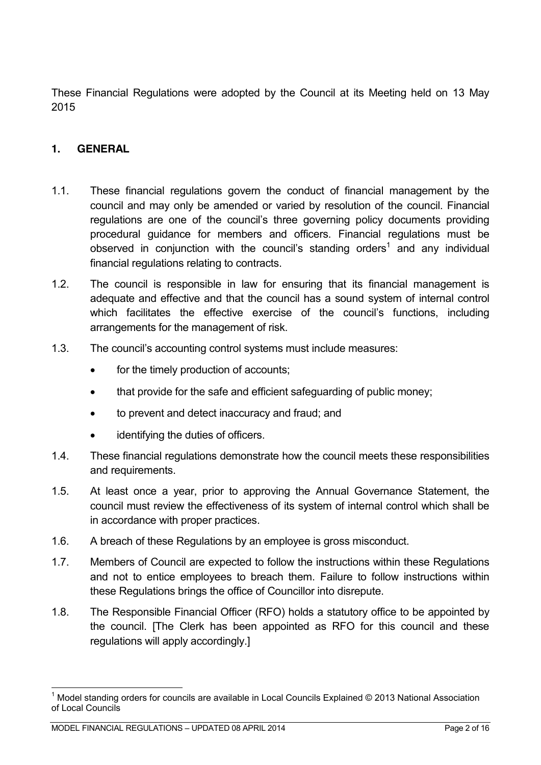These Financial Regulations were adopted by the Council at its Meeting held on 13 May 2015

## <span id="page-1-0"></span>**1. GENERAL**

- 1.1. These financial regulations govern the conduct of financial management by the council and may only be amended or varied by resolution of the council. Financial regulations are one of the council"s three governing policy documents providing procedural guidance for members and officers. Financial regulations must be observed in conjunction with the council's standing orders<sup>1</sup> and any individual financial regulations relating to contracts.
- 1.2. The council is responsible in law for ensuring that its financial management is adequate and effective and that the council has a sound system of internal control which facilitates the effective exercise of the council's functions, including arrangements for the management of risk.
- 1.3. The council"s accounting control systems must include measures:
	- for the timely production of accounts;
	- that provide for the safe and efficient safeguarding of public money;
	- to prevent and detect inaccuracy and fraud; and
	- identifying the duties of officers.
- 1.4. These financial regulations demonstrate how the council meets these responsibilities and requirements.
- 1.5. At least once a year, prior to approving the Annual Governance Statement, the council must review the effectiveness of its system of internal control which shall be in accordance with proper practices.
- 1.6. A breach of these Regulations by an employee is gross misconduct.
- 1.7. Members of Council are expected to follow the instructions within these Regulations and not to entice employees to breach them. Failure to follow instructions within these Regulations brings the office of Councillor into disrepute.
- 1.8. The Responsible Financial Officer (RFO) holds a statutory office to be appointed by the council. [The Clerk has been appointed as RFO for this council and these regulations will apply accordingly.]

Model standing orders for councils are available in Local Councils Explained © 2013 National Association of Local Councils

MODEL FINANCIAL REGULATIONS – UPDATED 08 APRIL 2014 Page 2 of 16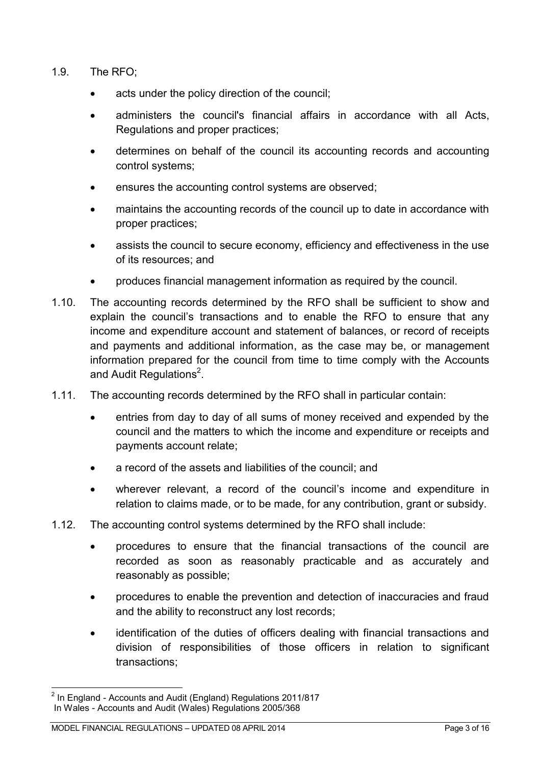- 1.9. The RFO;
	- acts under the policy direction of the council;
	- administers the council's financial affairs in accordance with all Acts, Regulations and proper practices;
	- determines on behalf of the council its accounting records and accounting control systems;
	- **•** ensures the accounting control systems are observed;
	- maintains the accounting records of the council up to date in accordance with proper practices;
	- assists the council to secure economy, efficiency and effectiveness in the use of its resources; and
	- produces financial management information as required by the council.
- 1.10. The accounting records determined by the RFO shall be sufficient to show and explain the council's transactions and to enable the RFO to ensure that any income and expenditure account and statement of balances, or record of receipts and payments and additional information, as the case may be, or management information prepared for the council from time to time comply with the Accounts and Audit Regulations<sup>2</sup>.
- 1.11. The accounting records determined by the RFO shall in particular contain:
	- entries from day to day of all sums of money received and expended by the council and the matters to which the income and expenditure or receipts and payments account relate;
	- a record of the assets and liabilities of the council; and
	- wherever relevant, a record of the council's income and expenditure in relation to claims made, or to be made, for any contribution, grant or subsidy.
- 1.12. The accounting control systems determined by the RFO shall include:
	- procedures to ensure that the financial transactions of the council are recorded as soon as reasonably practicable and as accurately and reasonably as possible;
	- procedures to enable the prevention and detection of inaccuracies and fraud and the ability to reconstruct any lost records;
	- identification of the duties of officers dealing with financial transactions and division of responsibilities of those officers in relation to significant transactions;

 <sup>2</sup> In England - Accounts and Audit (England) Regulations 2011/817 In Wales - Accounts and Audit (Wales) Regulations 2005/368

MODEL FINANCIAL REGULATIONS – UPDATED 08 APRIL 2014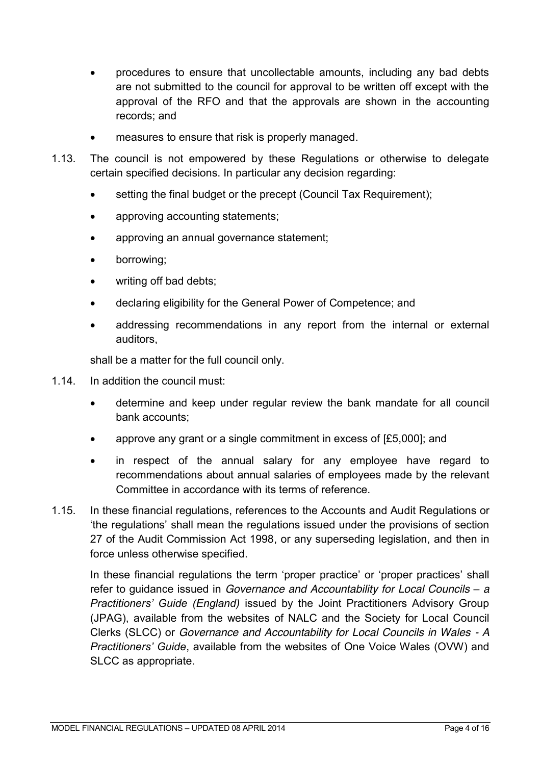- procedures to ensure that uncollectable amounts, including any bad debts are not submitted to the council for approval to be written off except with the approval of the RFO and that the approvals are shown in the accounting records; and
- measures to ensure that risk is properly managed.
- 1.13. The council is not empowered by these Regulations or otherwise to delegate certain specified decisions. In particular any decision regarding:
	- setting the final budget or the precept (Council Tax Requirement);
	- approving accounting statements;
	- approving an annual governance statement;
	- borrowing;
	- writing off bad debts;
	- declaring eligibility for the General Power of Competence; and
	- addressing recommendations in any report from the internal or external auditors,

shall be a matter for the full council only.

- 1.14. In addition the council must:
	- determine and keep under regular review the bank mandate for all council bank accounts;
	- approve any grant or a single commitment in excess of [£5,000]; and
	- in respect of the annual salary for any employee have regard to recommendations about annual salaries of employees made by the relevant Committee in accordance with its terms of reference.
- 1.15. In these financial regulations, references to the Accounts and Audit Regulations or "the regulations" shall mean the regulations issued under the provisions of section 27 of the Audit Commission Act 1998, or any superseding legislation, and then in force unless otherwise specified.

In these financial regulations the term 'proper practice' or 'proper practices' shall refer to guidance issued in *Governance and Accountability for Local Councils – a Practitioners' Guide (England)* issued by the Joint Practitioners Advisory Group (JPAG), available from the websites of NALC and the Society for Local Council Clerks (SLCC) or *Governance and Accountability for Local Councils in Wales - A Practitioners' Guide*, available from the websites of One Voice Wales (OVW) and SLCC as appropriate.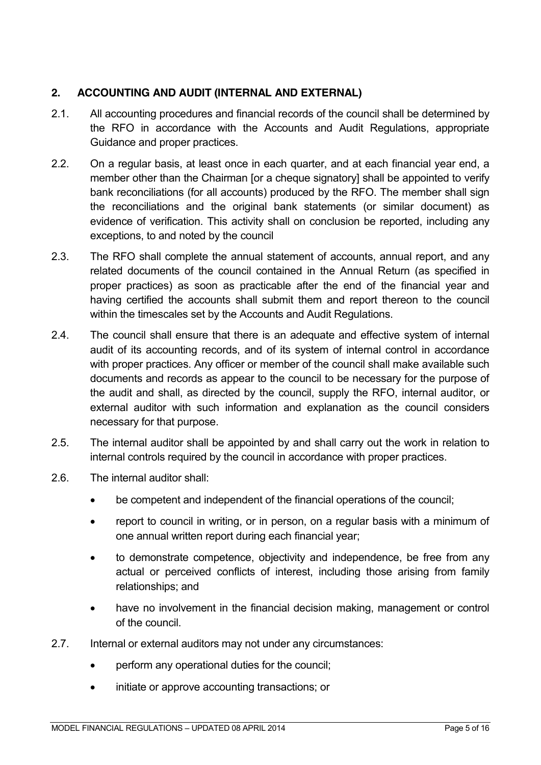# <span id="page-4-0"></span>**2. ACCOUNTING AND AUDIT (INTERNAL AND EXTERNAL)**

- 2.1. All accounting procedures and financial records of the council shall be determined by the RFO in accordance with the Accounts and Audit Regulations, appropriate Guidance and proper practices.
- 2.2. On a regular basis, at least once in each quarter, and at each financial year end, a member other than the Chairman [or a cheque signatory] shall be appointed to verify bank reconciliations (for all accounts) produced by the RFO. The member shall sign the reconciliations and the original bank statements (or similar document) as evidence of verification. This activity shall on conclusion be reported, including any exceptions, to and noted by the council
- 2.3. The RFO shall complete the annual statement of accounts, annual report, and any related documents of the council contained in the Annual Return (as specified in proper practices) as soon as practicable after the end of the financial year and having certified the accounts shall submit them and report thereon to the council within the timescales set by the Accounts and Audit Regulations.
- 2.4. The council shall ensure that there is an adequate and effective system of internal audit of its accounting records, and of its system of internal control in accordance with proper practices. Any officer or member of the council shall make available such documents and records as appear to the council to be necessary for the purpose of the audit and shall, as directed by the council, supply the RFO, internal auditor, or external auditor with such information and explanation as the council considers necessary for that purpose.
- 2.5. The internal auditor shall be appointed by and shall carry out the work in relation to internal controls required by the council in accordance with proper practices.
- 2.6. The internal auditor shall:
	- be competent and independent of the financial operations of the council;
	- report to council in writing, or in person, on a regular basis with a minimum of one annual written report during each financial year;
	- to demonstrate competence, objectivity and independence, be free from any actual or perceived conflicts of interest, including those arising from family relationships; and
	- have no involvement in the financial decision making, management or control of the council.
- 2.7. Internal or external auditors may not under any circumstances:
	- perform any operational duties for the council;
	- initiate or approve accounting transactions; or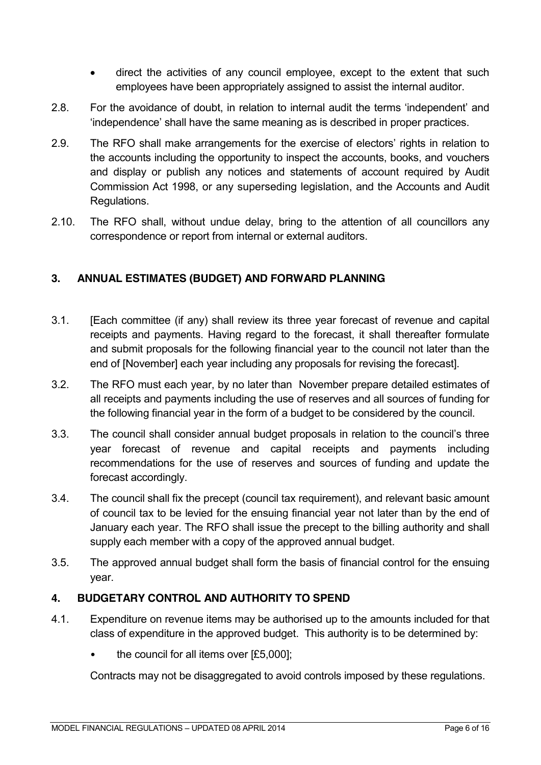- direct the activities of any council employee, except to the extent that such employees have been appropriately assigned to assist the internal auditor.
- 2.8. For the avoidance of doubt, in relation to internal audit the terms "independent" and "independence" shall have the same meaning as is described in proper practices.
- 2.9. The RFO shall make arrangements for the exercise of electors' rights in relation to the accounts including the opportunity to inspect the accounts, books, and vouchers and display or publish any notices and statements of account required by Audit Commission Act 1998, or any superseding legislation, and the Accounts and Audit Regulations.
- 2.10. The RFO shall, without undue delay, bring to the attention of all councillors any correspondence or report from internal or external auditors.

# <span id="page-5-0"></span>**3. ANNUAL ESTIMATES (BUDGET) AND FORWARD PLANNING**

- 3.1. [Each committee (if any) shall review its three year forecast of revenue and capital receipts and payments. Having regard to the forecast, it shall thereafter formulate and submit proposals for the following financial year to the council not later than the end of [November] each year including any proposals for revising the forecast].
- 3.2. The RFO must each year, by no later than November prepare detailed estimates of all receipts and payments including the use of reserves and all sources of funding for the following financial year in the form of a budget to be considered by the council.
- 3.3. The council shall consider annual budget proposals in relation to the council"s three year forecast of revenue and capital receipts and payments including recommendations for the use of reserves and sources of funding and update the forecast accordingly.
- 3.4. The council shall fix the precept (council tax requirement), and relevant basic amount of council tax to be levied for the ensuing financial year not later than by the end of January each year. The RFO shall issue the precept to the billing authority and shall supply each member with a copy of the approved annual budget.
- 3.5. The approved annual budget shall form the basis of financial control for the ensuing year.

# <span id="page-5-1"></span>**4. BUDGETARY CONTROL AND AUTHORITY TO SPEND**

- 4.1. Expenditure on revenue items may be authorised up to the amounts included for that class of expenditure in the approved budget. This authority is to be determined by:
	- the council for all items over [£5,000]:

Contracts may not be disaggregated to avoid controls imposed by these regulations.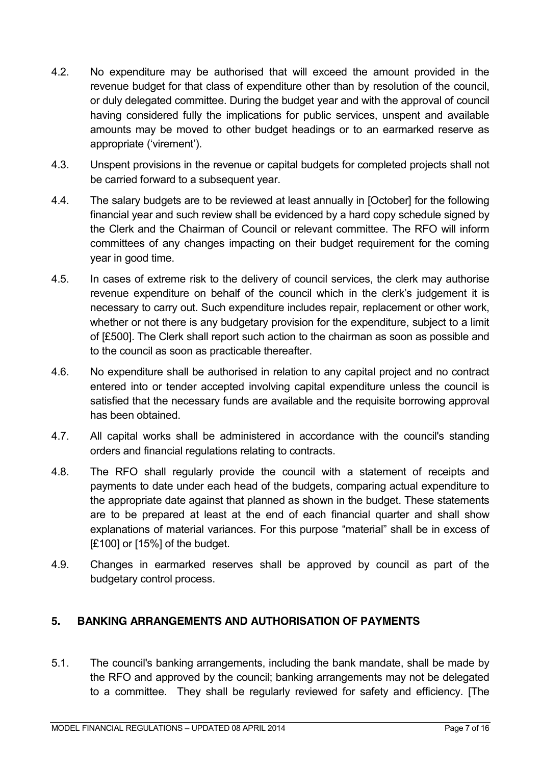- 4.2. No expenditure may be authorised that will exceed the amount provided in the revenue budget for that class of expenditure other than by resolution of the council, or duly delegated committee. During the budget year and with the approval of council having considered fully the implications for public services, unspent and available amounts may be moved to other budget headings or to an earmarked reserve as appropriate ('virement').
- 4.3. Unspent provisions in the revenue or capital budgets for completed projects shall not be carried forward to a subsequent year.
- 4.4. The salary budgets are to be reviewed at least annually in [October] for the following financial year and such review shall be evidenced by a hard copy schedule signed by the Clerk and the Chairman of Council or relevant committee. The RFO will inform committees of any changes impacting on their budget requirement for the coming year in good time.
- 4.5. In cases of extreme risk to the delivery of council services, the clerk may authorise revenue expenditure on behalf of the council which in the clerk"s judgement it is necessary to carry out. Such expenditure includes repair, replacement or other work, whether or not there is any budgetary provision for the expenditure, subject to a limit of [£500]. The Clerk shall report such action to the chairman as soon as possible and to the council as soon as practicable thereafter.
- 4.6. No expenditure shall be authorised in relation to any capital project and no contract entered into or tender accepted involving capital expenditure unless the council is satisfied that the necessary funds are available and the requisite borrowing approval has been obtained.
- 4.7. All capital works shall be administered in accordance with the council's standing orders and financial regulations relating to contracts.
- 4.8. The RFO shall regularly provide the council with a statement of receipts and payments to date under each head of the budgets, comparing actual expenditure to the appropriate date against that planned as shown in the budget. These statements are to be prepared at least at the end of each financial quarter and shall show explanations of material variances. For this purpose "material" shall be in excess of [£100] or [15%] of the budget.
- 4.9. Changes in earmarked reserves shall be approved by council as part of the budgetary control process.

## <span id="page-6-0"></span>**5. BANKING ARRANGEMENTS AND AUTHORISATION OF PAYMENTS**

5.1. The council's banking arrangements, including the bank mandate, shall be made by the RFO and approved by the council; banking arrangements may not be delegated to a committee. They shall be regularly reviewed for safety and efficiency. [The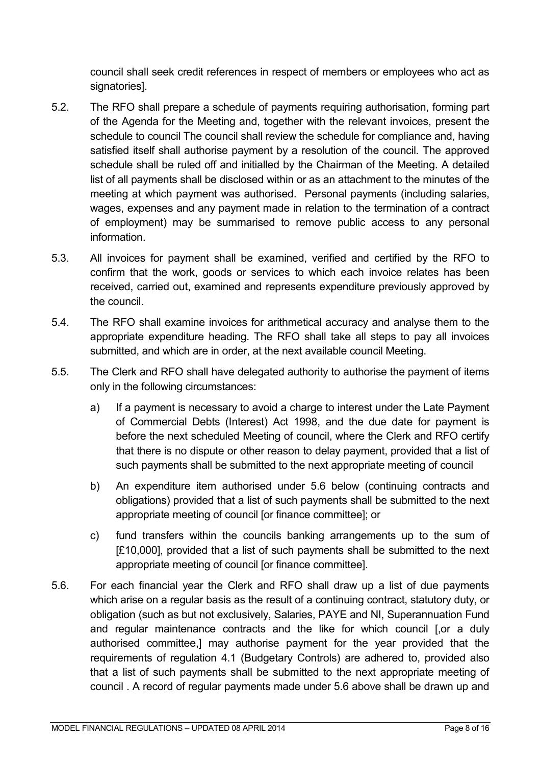council shall seek credit references in respect of members or employees who act as signatories].

- 5.2. The RFO shall prepare a schedule of payments requiring authorisation, forming part of the Agenda for the Meeting and, together with the relevant invoices, present the schedule to council The council shall review the schedule for compliance and, having satisfied itself shall authorise payment by a resolution of the council. The approved schedule shall be ruled off and initialled by the Chairman of the Meeting. A detailed list of all payments shall be disclosed within or as an attachment to the minutes of the meeting at which payment was authorised. Personal payments (including salaries, wages, expenses and any payment made in relation to the termination of a contract of employment) may be summarised to remove public access to any personal information.
- 5.3. All invoices for payment shall be examined, verified and certified by the RFO to confirm that the work, goods or services to which each invoice relates has been received, carried out, examined and represents expenditure previously approved by the council.
- 5.4. The RFO shall examine invoices for arithmetical accuracy and analyse them to the appropriate expenditure heading. The RFO shall take all steps to pay all invoices submitted, and which are in order, at the next available council Meeting.
- 5.5. The Clerk and RFO shall have delegated authority to authorise the payment of items only in the following circumstances:
	- a) If a payment is necessary to avoid a charge to interest under the Late Payment of Commercial Debts (Interest) Act 1998, and the due date for payment is before the next scheduled Meeting of council, where the Clerk and RFO certify that there is no dispute or other reason to delay payment, provided that a list of such payments shall be submitted to the next appropriate meeting of council
	- b) An expenditure item authorised under 5.6 below (continuing contracts and obligations) provided that a list of such payments shall be submitted to the next appropriate meeting of council [or finance committee]; or
	- c) fund transfers within the councils banking arrangements up to the sum of [£10,000], provided that a list of such payments shall be submitted to the next appropriate meeting of council for finance committee].
- 5.6. For each financial year the Clerk and RFO shall draw up a list of due payments which arise on a regular basis as the result of a continuing contract, statutory duty, or obligation (such as but not exclusively, Salaries, PAYE and NI, Superannuation Fund and regular maintenance contracts and the like for which council [,or a duly authorised committee,] may authorise payment for the year provided that the requirements of regulation 4.1 (Budgetary Controls) are adhered to, provided also that a list of such payments shall be submitted to the next appropriate meeting of council . A record of regular payments made under 5.6 above shall be drawn up and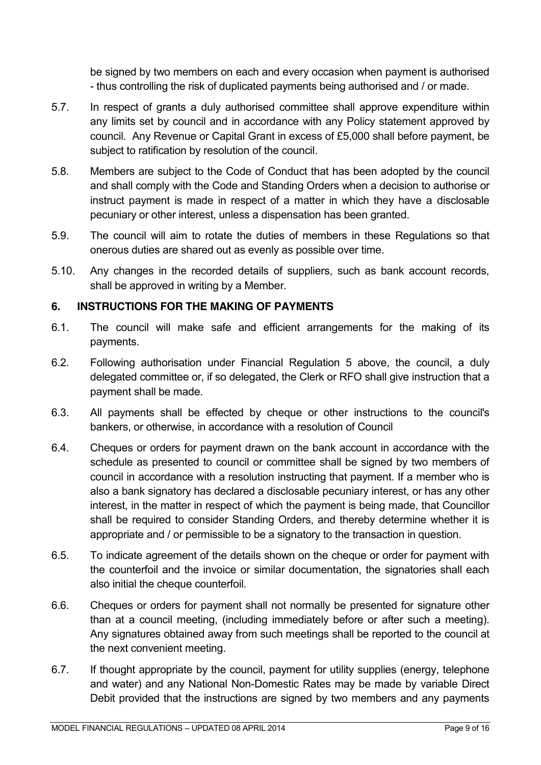be signed by two members on each and every occasion when payment is authorised - thus controlling the risk of duplicated payments being authorised and / or made.

- 5.7. In respect of grants a duly authorised committee shall approve expenditure within any limits set by council and in accordance with any Policy statement approved by council. Any Revenue or Capital Grant in excess of £5,000 shall before payment, be subject to ratification by resolution of the council.
- 5.8. Members are subject to the Code of Conduct that has been adopted by the council and shall comply with the Code and Standing Orders when a decision to authorise or instruct payment is made in respect of a matter in which they have a disclosable pecuniary or other interest, unless a dispensation has been granted.
- 5.9. The council will aim to rotate the duties of members in these Regulations so that onerous duties are shared out as evenly as possible over time.
- 5.10. Any changes in the recorded details of suppliers, such as bank account records, shall be approved in writing by a Member.

## <span id="page-8-0"></span>**6. INSTRUCTIONS FOR THE MAKING OF PAYMENTS**

- 6.1. The council will make safe and efficient arrangements for the making of its payments.
- 6.2. Following authorisation under Financial Regulation 5 above, the council, a duly delegated committee or, if so delegated, the Clerk or RFO shall give instruction that a payment shall be made.
- 6.3. All payments shall be effected by cheque or other instructions to the council's bankers, or otherwise, in accordance with a resolution of Council
- 6.4. Cheques or orders for payment drawn on the bank account in accordance with the schedule as presented to council or committee shall be signed by two members of council in accordance with a resolution instructing that payment. If a member who is also a bank signatory has declared a disclosable pecuniary interest, or has any other interest, in the matter in respect of which the payment is being made, that Councillor shall be required to consider Standing Orders, and thereby determine whether it is appropriate and / or permissible to be a signatory to the transaction in question.
- 6.5. To indicate agreement of the details shown on the cheque or order for payment with the counterfoil and the invoice or similar documentation, the signatories shall each also initial the cheque counterfoil.
- 6.6. Cheques or orders for payment shall not normally be presented for signature other than at a council meeting, (including immediately before or after such a meeting). Any signatures obtained away from such meetings shall be reported to the council at the next convenient meeting.
- 6.7. If thought appropriate by the council, payment for utility supplies (energy, telephone and water) and any National Non-Domestic Rates may be made by variable Direct Debit provided that the instructions are signed by two members and any payments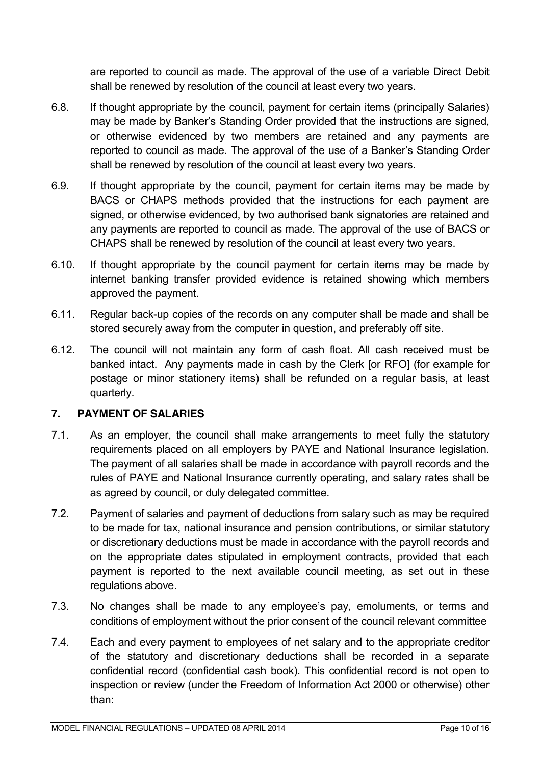are reported to council as made. The approval of the use of a variable Direct Debit shall be renewed by resolution of the council at least every two years.

- 6.8. If thought appropriate by the council, payment for certain items (principally Salaries) may be made by Banker"s Standing Order provided that the instructions are signed, or otherwise evidenced by two members are retained and any payments are reported to council as made. The approval of the use of a Banker"s Standing Order shall be renewed by resolution of the council at least every two years.
- 6.9. If thought appropriate by the council, payment for certain items may be made by BACS or CHAPS methods provided that the instructions for each payment are signed, or otherwise evidenced, by two authorised bank signatories are retained and any payments are reported to council as made. The approval of the use of BACS or CHAPS shall be renewed by resolution of the council at least every two years.
- 6.10. If thought appropriate by the council payment for certain items may be made by internet banking transfer provided evidence is retained showing which members approved the payment.
- 6.11. Regular back-up copies of the records on any computer shall be made and shall be stored securely away from the computer in question, and preferably off site.
- 6.12. The council will not maintain any form of cash float. All cash received must be banked intact. Any payments made in cash by the Clerk [or RFO] (for example for postage or minor stationery items) shall be refunded on a regular basis, at least quarterly.

## <span id="page-9-0"></span>**7. PAYMENT OF SALARIES**

- 7.1. As an employer, the council shall make arrangements to meet fully the statutory requirements placed on all employers by PAYE and National Insurance legislation. The payment of all salaries shall be made in accordance with payroll records and the rules of PAYE and National Insurance currently operating, and salary rates shall be as agreed by council, or duly delegated committee.
- 7.2. Payment of salaries and payment of deductions from salary such as may be required to be made for tax, national insurance and pension contributions, or similar statutory or discretionary deductions must be made in accordance with the payroll records and on the appropriate dates stipulated in employment contracts, provided that each payment is reported to the next available council meeting, as set out in these regulations above.
- 7.3. No changes shall be made to any employee's pay, emoluments, or terms and conditions of employment without the prior consent of the council relevant committee
- 7.4. Each and every payment to employees of net salary and to the appropriate creditor of the statutory and discretionary deductions shall be recorded in a separate confidential record (confidential cash book). This confidential record is not open to inspection or review (under the Freedom of Information Act 2000 or otherwise) other than: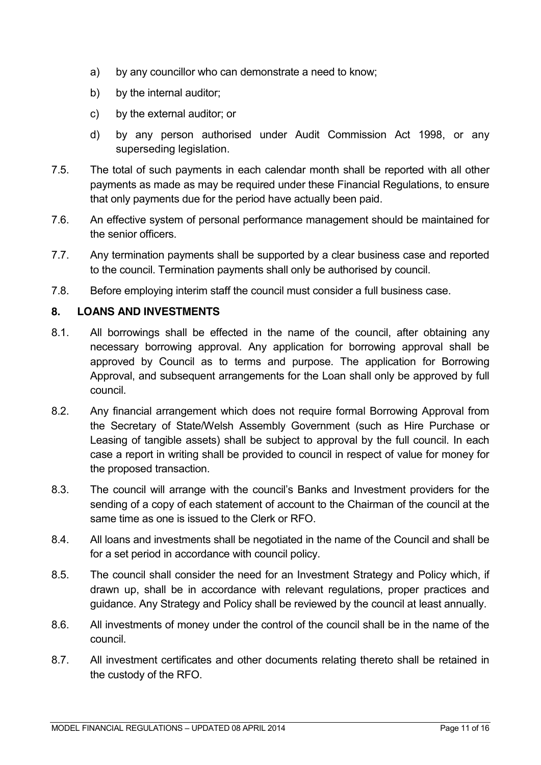- a) by any councillor who can demonstrate a need to know;
- b) by the internal auditor;
- c) by the external auditor; or
- d) by any person authorised under Audit Commission Act 1998, or any superseding legislation.
- 7.5. The total of such payments in each calendar month shall be reported with all other payments as made as may be required under these Financial Regulations, to ensure that only payments due for the period have actually been paid.
- 7.6. An effective system of personal performance management should be maintained for the senior officers.
- 7.7. Any termination payments shall be supported by a clear business case and reported to the council. Termination payments shall only be authorised by council.
- 7.8. Before employing interim staff the council must consider a full business case.

## <span id="page-10-0"></span>**8. LOANS AND INVESTMENTS**

- 8.1. All borrowings shall be effected in the name of the council, after obtaining any necessary borrowing approval. Any application for borrowing approval shall be approved by Council as to terms and purpose. The application for Borrowing Approval, and subsequent arrangements for the Loan shall only be approved by full council.
- 8.2. Any financial arrangement which does not require formal Borrowing Approval from the Secretary of State/Welsh Assembly Government (such as Hire Purchase or Leasing of tangible assets) shall be subject to approval by the full council. In each case a report in writing shall be provided to council in respect of value for money for the proposed transaction.
- 8.3. The council will arrange with the council"s Banks and Investment providers for the sending of a copy of each statement of account to the Chairman of the council at the same time as one is issued to the Clerk or RFO.
- 8.4. All loans and investments shall be negotiated in the name of the Council and shall be for a set period in accordance with council policy.
- 8.5. The council shall consider the need for an Investment Strategy and Policy which, if drawn up, shall be in accordance with relevant regulations, proper practices and guidance. Any Strategy and Policy shall be reviewed by the council at least annually.
- 8.6. All investments of money under the control of the council shall be in the name of the council.
- 8.7. All investment certificates and other documents relating thereto shall be retained in the custody of the RFO.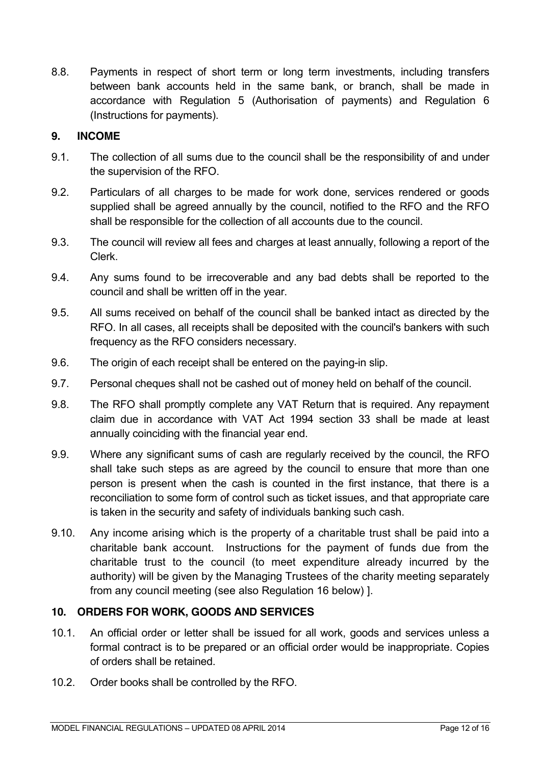8.8. Payments in respect of short term or long term investments, including transfers between bank accounts held in the same bank, or branch, shall be made in accordance with Regulation 5 (Authorisation of payments) and Regulation 6 (Instructions for payments).

## <span id="page-11-0"></span>**9. INCOME**

- 9.1. The collection of all sums due to the council shall be the responsibility of and under the supervision of the RFO.
- 9.2. Particulars of all charges to be made for work done, services rendered or goods supplied shall be agreed annually by the council, notified to the RFO and the RFO shall be responsible for the collection of all accounts due to the council.
- 9.3. The council will review all fees and charges at least annually, following a report of the Clerk.
- 9.4. Any sums found to be irrecoverable and any bad debts shall be reported to the council and shall be written off in the year.
- 9.5. All sums received on behalf of the council shall be banked intact as directed by the RFO. In all cases, all receipts shall be deposited with the council's bankers with such frequency as the RFO considers necessary.
- 9.6. The origin of each receipt shall be entered on the paying-in slip.
- 9.7. Personal cheques shall not be cashed out of money held on behalf of the council.
- 9.8. The RFO shall promptly complete any VAT Return that is required. Any repayment claim due in accordance with VAT Act 1994 section 33 shall be made at least annually coinciding with the financial year end.
- 9.9. Where any significant sums of cash are regularly received by the council, the RFO shall take such steps as are agreed by the council to ensure that more than one person is present when the cash is counted in the first instance, that there is a reconciliation to some form of control such as ticket issues, and that appropriate care is taken in the security and safety of individuals banking such cash.
- 9.10. Any income arising which is the property of a charitable trust shall be paid into a charitable bank account. Instructions for the payment of funds due from the charitable trust to the council (to meet expenditure already incurred by the authority) will be given by the Managing Trustees of the charity meeting separately from any council meeting (see also Regulation 16 below) ].

## <span id="page-11-1"></span>**10. ORDERS FOR WORK, GOODS AND SERVICES**

- 10.1. An official order or letter shall be issued for all work, goods and services unless a formal contract is to be prepared or an official order would be inappropriate. Copies of orders shall be retained.
- 10.2. Order books shall be controlled by the RFO.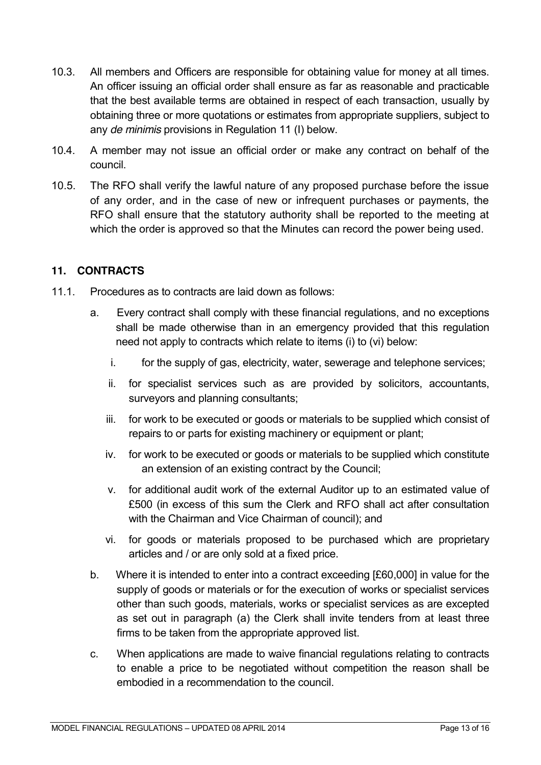- 10.3. All members and Officers are responsible for obtaining value for money at all times. An officer issuing an official order shall ensure as far as reasonable and practicable that the best available terms are obtained in respect of each transaction, usually by obtaining three or more quotations or estimates from appropriate suppliers, subject to any *de minimis* provisions in Regulation 11 (I) below.
- 10.4. A member may not issue an official order or make any contract on behalf of the council.
- 10.5. The RFO shall verify the lawful nature of any proposed purchase before the issue of any order, and in the case of new or infrequent purchases or payments, the RFO shall ensure that the statutory authority shall be reported to the meeting at which the order is approved so that the Minutes can record the power being used.

# <span id="page-12-0"></span>**11. CONTRACTS**

- 11.1. Procedures as to contracts are laid down as follows:
	- a. Every contract shall comply with these financial regulations, and no exceptions shall be made otherwise than in an emergency provided that this regulation need not apply to contracts which relate to items (i) to (vi) below:
		- i. for the supply of gas, electricity, water, sewerage and telephone services;
		- ii. for specialist services such as are provided by solicitors, accountants, surveyors and planning consultants;
		- iii. for work to be executed or goods or materials to be supplied which consist of repairs to or parts for existing machinery or equipment or plant;
		- iv. for work to be executed or goods or materials to be supplied which constitute an extension of an existing contract by the Council;
		- v. for additional audit work of the external Auditor up to an estimated value of £500 (in excess of this sum the Clerk and RFO shall act after consultation with the Chairman and Vice Chairman of council); and
		- vi. for goods or materials proposed to be purchased which are proprietary articles and / or are only sold at a fixed price.
	- b. Where it is intended to enter into a contract exceeding [£60,000] in value for the supply of goods or materials or for the execution of works or specialist services other than such goods, materials, works or specialist services as are excepted as set out in paragraph (a) the Clerk shall invite tenders from at least three firms to be taken from the appropriate approved list.
	- c. When applications are made to waive financial regulations relating to contracts to enable a price to be negotiated without competition the reason shall be embodied in a recommendation to the council.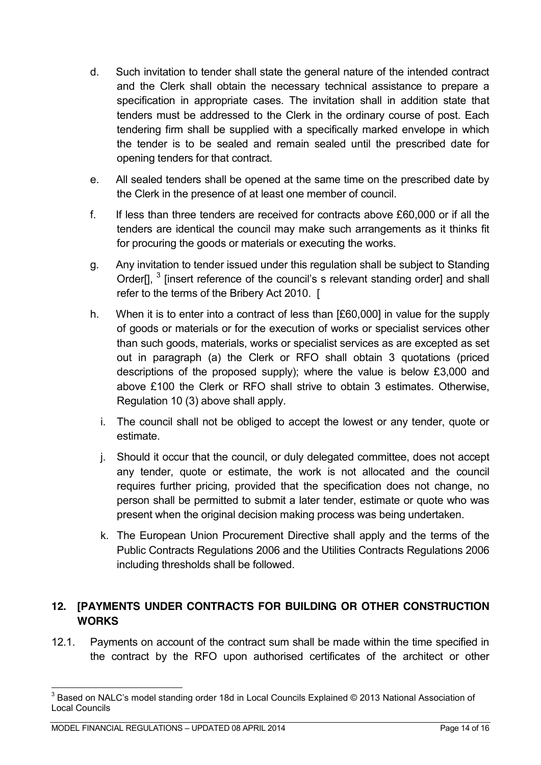- d. Such invitation to tender shall state the general nature of the intended contract and the Clerk shall obtain the necessary technical assistance to prepare a specification in appropriate cases. The invitation shall in addition state that tenders must be addressed to the Clerk in the ordinary course of post. Each tendering firm shall be supplied with a specifically marked envelope in which the tender is to be sealed and remain sealed until the prescribed date for opening tenders for that contract.
- e. All sealed tenders shall be opened at the same time on the prescribed date by the Clerk in the presence of at least one member of council.
- f. If less than three tenders are received for contracts above £60,000 or if all the tenders are identical the council may make such arrangements as it thinks fit for procuring the goods or materials or executing the works.
- g. Any invitation to tender issued under this regulation shall be subject to Standing Order<sup>[]</sup>, <sup>3</sup> [insert reference of the council's s relevant standing order] and shall refer to the terms of the Bribery Act 2010. [
- h. When it is to enter into a contract of less than [£60,000] in value for the supply of goods or materials or for the execution of works or specialist services other than such goods, materials, works or specialist services as are excepted as set out in paragraph (a) the Clerk or RFO shall obtain 3 quotations (priced descriptions of the proposed supply); where the value is below £3,000 and above £100 the Clerk or RFO shall strive to obtain 3 estimates. Otherwise, Regulation 10 (3) above shall apply.
	- i. The council shall not be obliged to accept the lowest or any tender, quote or estimate.
	- j. Should it occur that the council, or duly delegated committee, does not accept any tender, quote or estimate, the work is not allocated and the council requires further pricing, provided that the specification does not change, no person shall be permitted to submit a later tender, estimate or quote who was present when the original decision making process was being undertaken.
	- k. The European Union Procurement Directive shall apply and the terms of the Public Contracts Regulations 2006 and the Utilities Contracts Regulations 2006 including thresholds shall be followed.

# <span id="page-13-0"></span>**12. [PAYMENTS UNDER CONTRACTS FOR BUILDING OR OTHER CONSTRUCTION WORKS**

12.1. Payments on account of the contract sum shall be made within the time specified in the contract by the RFO upon authorised certificates of the architect or other

 <sup>3</sup> Based on NALC"s model standing order 18d in Local Councils Explained © 2013 National Association of Local Councils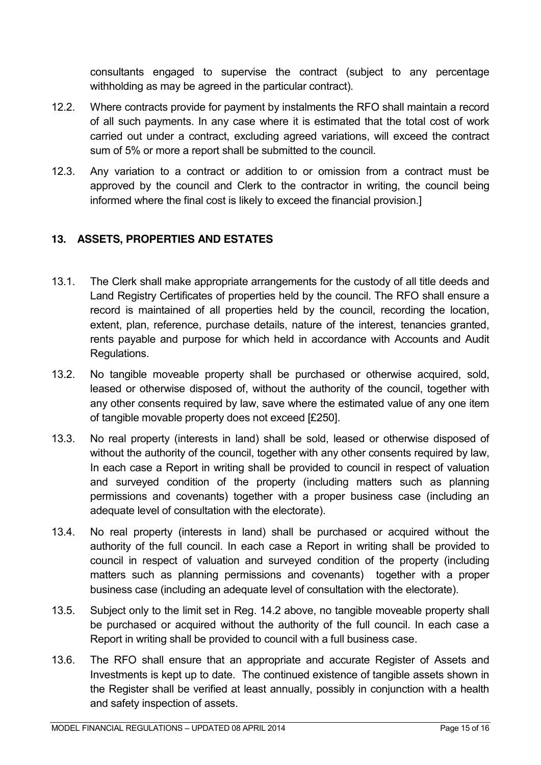consultants engaged to supervise the contract (subject to any percentage withholding as may be agreed in the particular contract).

- 12.2. Where contracts provide for payment by instalments the RFO shall maintain a record of all such payments. In any case where it is estimated that the total cost of work carried out under a contract, excluding agreed variations, will exceed the contract sum of 5% or more a report shall be submitted to the council.
- 12.3. Any variation to a contract or addition to or omission from a contract must be approved by the council and Clerk to the contractor in writing, the council being informed where the final cost is likely to exceed the financial provision.]

# <span id="page-14-0"></span>**13. ASSETS, PROPERTIES AND ESTATES**

- 13.1. The Clerk shall make appropriate arrangements for the custody of all title deeds and Land Registry Certificates of properties held by the council. The RFO shall ensure a record is maintained of all properties held by the council, recording the location, extent, plan, reference, purchase details, nature of the interest, tenancies granted, rents payable and purpose for which held in accordance with Accounts and Audit Regulations.
- 13.2. No tangible moveable property shall be purchased or otherwise acquired, sold, leased or otherwise disposed of, without the authority of the council, together with any other consents required by law, save where the estimated value of any one item of tangible movable property does not exceed [£250].
- 13.3. No real property (interests in land) shall be sold, leased or otherwise disposed of without the authority of the council, together with any other consents required by law. In each case a Report in writing shall be provided to council in respect of valuation and surveyed condition of the property (including matters such as planning permissions and covenants) together with a proper business case (including an adequate level of consultation with the electorate).
- 13.4. No real property (interests in land) shall be purchased or acquired without the authority of the full council. In each case a Report in writing shall be provided to council in respect of valuation and surveyed condition of the property (including matters such as planning permissions and covenants) together with a proper business case (including an adequate level of consultation with the electorate).
- 13.5. Subject only to the limit set in Reg. 14.2 above, no tangible moveable property shall be purchased or acquired without the authority of the full council. In each case a Report in writing shall be provided to council with a full business case.
- 13.6. The RFO shall ensure that an appropriate and accurate Register of Assets and Investments is kept up to date. The continued existence of tangible assets shown in the Register shall be verified at least annually, possibly in conjunction with a health and safety inspection of assets.